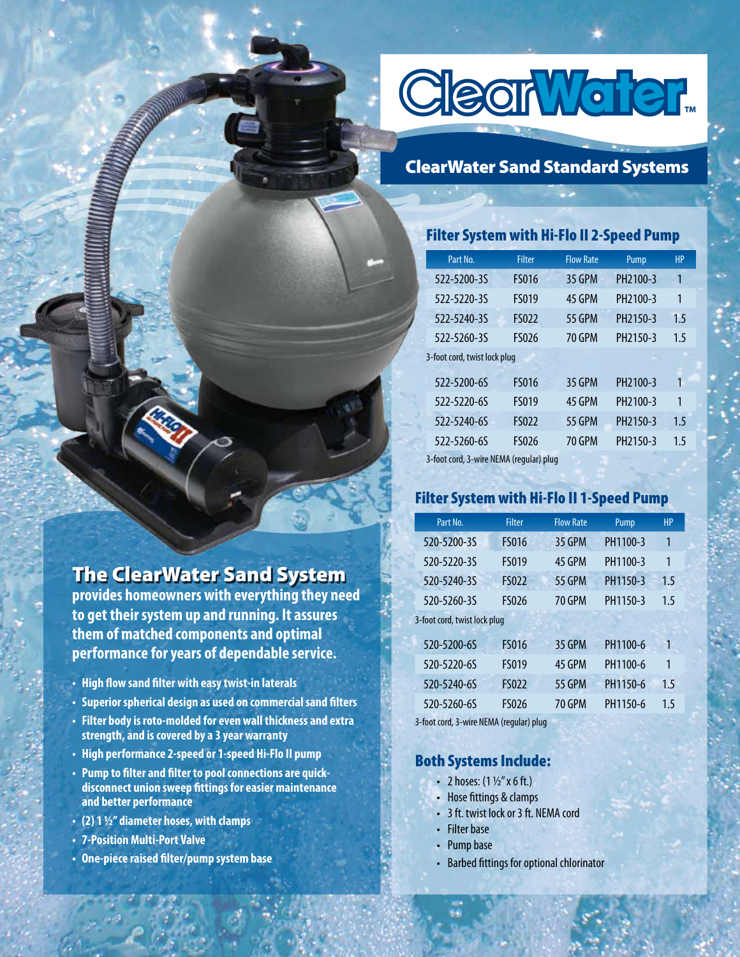

## ClearWater Sand Standard Systems

### Filter System with Hi-Flo II 2-Speed Pump

| Part No.                     | <b>Filter</b> | <b>Flow Rate</b> | Pump                 | <b>HP</b> |
|------------------------------|---------------|------------------|----------------------|-----------|
| 522-5200-3S                  | <b>FS016</b>  | 35 GPM           | PH <sub>2100-3</sub> | 1         |
| 522-5220-3S                  | <b>FS019</b>  | 45 GPM           | PH <sub>2100-3</sub> | 1         |
| 522-5240-35                  | <b>FS022</b>  | <b>55 GPM</b>    | PH <sub>2150-3</sub> | 1.5       |
| 522-5260-35                  | <b>FS026</b>  | 70 GPM           | PH2150-3             | 1.5       |
|                              |               |                  |                      |           |
| 3-foot cord, twist lock plug |               |                  |                      |           |
| 522-5200-6S                  | <b>FS016</b>  | 35 GPM           | PH <sub>2100-3</sub> | 1         |
| 522-5220-6S                  | <b>FS019</b>  | 45 GPM           | PH <sub>2100-3</sub> | 1         |
| 522-5240-6S                  | <b>FS022</b>  | <b>55 GPM</b>    | PH2150-3             | 1.5       |
| 522-5260-6S                  | <b>FS026</b>  | 70 GPM           | PH <sub>2150-3</sub> | 1.5       |

3-foot cord, 3-wire NEMA (regular) plug

### Filter System with Hi-Flo II 1-Speed Pump

| Part No.                     | <b>Filter</b> | <b>Flow Rate</b> | Pump     | <b>HP</b> |
|------------------------------|---------------|------------------|----------|-----------|
| 520-5200-35                  | <b>FS016</b>  | <b>35 GPM</b>    | PH1100-3 | 1         |
| 520-5220-35                  | <b>FS019</b>  | 45 GPM           | PH1100-3 | 1         |
| 520-5240-35                  | <b>FS022</b>  | <b>55 GPM</b>    | PH1150-3 | 1.5       |
| 520-5260-35                  | <b>FS026</b>  | 70 GPM           | PH1150-3 | 1.5       |
| 3-foot cord, twist lock plug |               |                  |          |           |
| 520-5200-65                  | <b>FS016</b>  | <b>35 GPM</b>    | PH1100-6 | 1         |
| 520-5220-6S                  | <b>FS019</b>  | 45 GPM           | PH1100-6 | 1         |
| 520-5240-6S                  | <b>FS022</b>  | <b>55 GPM</b>    | PH1150-6 | 1.5       |
|                              |               |                  |          |           |

| 520-5200-6S | <b>FS016</b> | 35 GPM        | PH1100-6 |                |
|-------------|--------------|---------------|----------|----------------|
| 520-5220-65 | <b>FS019</b> | 45 GPM        | PH1100-6 |                |
| 520-5240-65 | <b>FS022</b> | <b>55 GPM</b> | PH1150-6 | 1 <sub>5</sub> |
| 520-5260-6S | <b>FS026</b> | <b>70 GPM</b> | PH1150-6 | 1.5            |

3-foot cord, 3-wire NEMA (regular) plug

#### Both Systems Include:

- 2 hoses:  $(1 \frac{1}{2} x \cdot 6 \cdot \text{ft.})$
- Hose fittings & clamps
- 3 ft. twist lock or 3 ft. NEMA cord
- **Filter base**
- Pump base
- Barbed fittings for optional chlorinator

# The ClearWater Sand System

**provides homeowners with everything they need to get their system up and running. It assures them of matched components and optimal performance for years of dependable service.**

- **High flow sand filter with easy twist-in laterals**
- **Superior spherical design as used on commercial sand filters**
- **Filter body is roto-molded for even wall thickness and extra strength, and is covered by a 3 year warranty**
- **• High performance 2-speed or 1-speed Hi-Flo II pump**
- **Pump to filter and filter to pool connections are quickdisconnect union sweep fittings for easier maintenance and better performance**
- **(2) 1 ½" diameter hoses, with clamps**
- **7-Position Multi-Port Valve**
- **One-piece raised filter/pump system base**